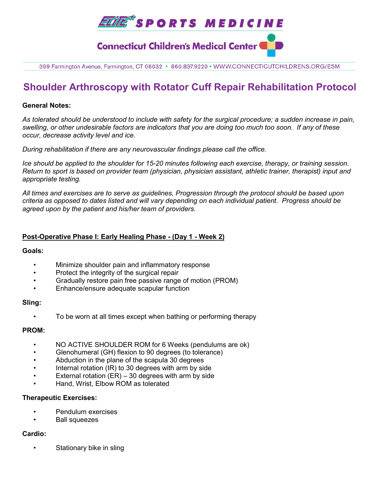

399 Farmington Avenue, Farmington, CT 06032 · 860.837.9220 · WWW.CONNECTICUTCHILDRENS.ORG/ESM

## **Shoulder Arthroscopy with Rotator Cuff Repair Rehabilitation Protocol**

#### **General Notes:**

*As tolerated should be understood to include with safety for the surgical procedure; a sudden increase in pain, swelling, or other undesirable factors are indicators that you are doing too much too soon. If any of these occur, decrease activity level and ice.* 

*During rehabilitation if there are any neurovascular findings please call the office.*

*Ice should be applied to the shoulder for 15-20 minutes following each exercise, therapy, or training session. Return to sport is based on provider team (physician, physician assistant, athletic trainer, therapist) input and appropriate testing.*

*All times and exercises are to serve as guidelines, Progression through the protocol should be based upon criteria as opposed to dates listed and will vary depending on each individual patient. Progress should be agreed upon by the patient and his/her team of providers.* 

## **Post-Operative Phase I: Early Healing Phase - (Day 1 - Week 2)**

#### **Goals:**

- Minimize shoulder pain and inflammatory response
- Protect the integrity of the surgical repair
- Gradually restore pain free passive range of motion (PROM)
- Enhance/ensure adequate scapular function

#### **Sling:**

• To be worn at all times except when bathing or performing therapy

### **PROM:**

- NO ACTIVE SHOULDER ROM for 6 Weeks (pendulums are ok)
- Glenohumeral (GH) flexion to 90 degrees (to tolerance)
- Abduction in the plane of the scapula 30 degrees
- Internal rotation (IR) to 30 degrees with arm by side
- External rotation  $(ER) 30$  degrees with arm by side
- Hand, Wrist, Elbow ROM as tolerated

### **Therapeutic Exercises:**

- Pendulum exercises
- Ball squeezes

### **Cardio:**

Stationary bike in sling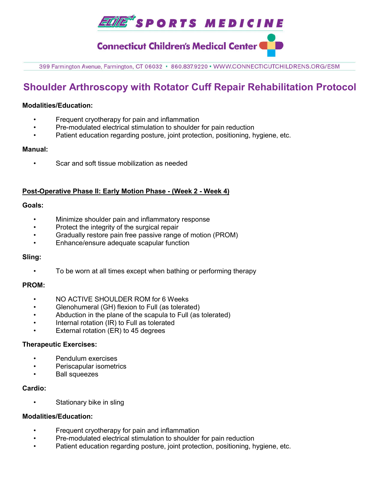

**Connecticut Children's Medical Center (** 

399 Farmington Avenue, Farmington, CT 06032 · 860.837.9220 · WWW.CONNECTICUTCHILDRENS.ORG/ESM

# **Shoulder Arthroscopy with Rotator Cuff Repair Rehabilitation Protocol**

#### **Modalities/Education:**

- Frequent cryotherapy for pain and inflammation
- Pre-modulated electrical stimulation to shoulder for pain reduction
- Patient education regarding posture, joint protection, positioning, hygiene, etc.

#### **Manual:**

• Scar and soft tissue mobilization as needed

#### **Post-Operative Phase II: Early Motion Phase - (Week 2 - Week 4)**

#### **Goals:**

- Minimize shoulder pain and inflammatory response
- Protect the integrity of the surgical repair
- Gradually restore pain free passive range of motion (PROM)
- Enhance/ensure adequate scapular function

### **Sling:**

• To be worn at all times except when bathing or performing therapy

#### **PROM:**

- NO ACTIVE SHOULDER ROM for 6 Weeks
- Glenohumeral (GH) flexion to Full (as tolerated)
- Abduction in the plane of the scapula to Full (as tolerated)
- Internal rotation (IR) to Full as tolerated
- External rotation (ER) to 45 degrees

#### **Therapeutic Exercises:**

- Pendulum exercises
- Periscapular isometrics
- Ball squeezes

#### **Cardio:**

Stationary bike in sling

### **Modalities/Education:**

- Frequent cryotherapy for pain and inflammation
- Pre-modulated electrical stimulation to shoulder for pain reduction
- Patient education regarding posture, joint protection, positioning, hygiene, etc.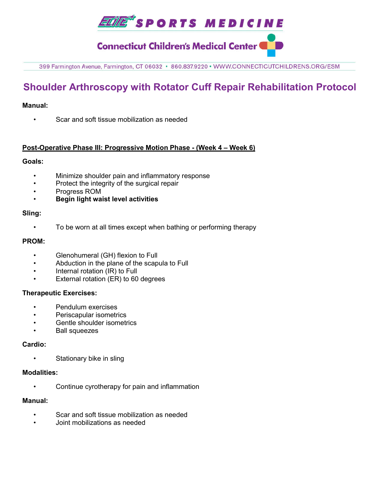

**Connecticut Children's Medical Center (** 

399 Farmington Avenue, Farmington, CT 06032 · 860.837.9220 · WWW.CONNECTICUTCHILDRENS.ORG/ESM

# **Shoulder Arthroscopy with Rotator Cuff Repair Rehabilitation Protocol**

### **Manual:**

• Scar and soft tissue mobilization as needed

### **Post-Operative Phase III: Progressive Motion Phase - (Week 4 – Week 6)**

### **Goals:**

- Minimize shoulder pain and inflammatory response
- Protect the integrity of the surgical repair
- Progress ROM
- **Begin light waist level activities**

#### **Sling:**

• To be worn at all times except when bathing or performing therapy

#### **PROM:**

- Glenohumeral (GH) flexion to Full
- Abduction in the plane of the scapula to Full
- Internal rotation (IR) to Full
- External rotation (ER) to 60 degrees

### **Therapeutic Exercises:**

- Pendulum exercises
- Periscapular isometrics
- Gentle shoulder isometrics
- Ball squeezes

## **Cardio:**

• Stationary bike in sling

### **Modalities:**

• Continue cyrotherapy for pain and inflammation

### **Manual:**

- Scar and soft tissue mobilization as needed
- Joint mobilizations as needed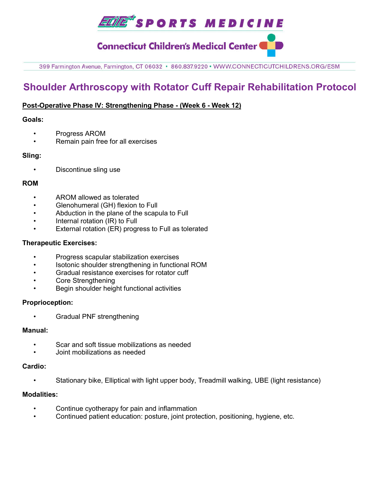

**Connecticut Children's Medical Center (** 

399 Farmington Avenue, Farmington, CT 06032 · 860.837.9220 · WWW.CONNECTICUTCHILDRENS.ORG/ESM

# **Shoulder Arthroscopy with Rotator Cuff Repair Rehabilitation Protocol**

## **Post-Operative Phase IV: Strengthening Phase - (Week 6 - Week 12)**

## **Goals:**

- Progress AROM
- Remain pain free for all exercises

## **Sling:**

• Discontinue sling use

## **ROM**

- AROM allowed as tolerated
- Glenohumeral (GH) flexion to Full
- Abduction in the plane of the scapula to Full
- Internal rotation (IR) to Full
- External rotation (ER) progress to Full as tolerated

## **Therapeutic Exercises:**

- Progress scapular stabilization exercises
- Isotonic shoulder strengthening in functional ROM
- Gradual resistance exercises for rotator cuff
- Core Strengthening
- Begin shoulder height functional activities

### **Proprioception:**

• Gradual PNF strengthening

### **Manual:**

- Scar and soft tissue mobilizations as needed
- Joint mobilizations as needed

### **Cardio:**

• Stationary bike, Elliptical with light upper body, Treadmill walking, UBE (light resistance)

## **Modalities:**

- Continue cyotherapy for pain and inflammation
- Continued patient education: posture, joint protection, positioning, hygiene, etc.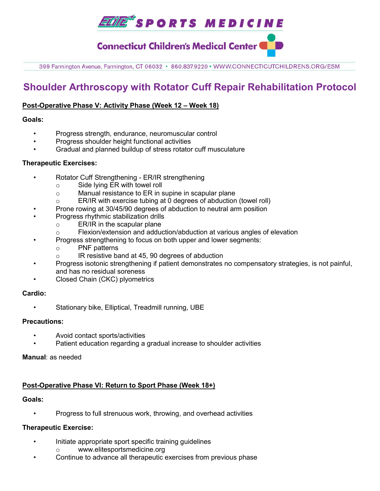*ELME\*SPORTS MEDICINE* 

**Connecticut Children's Medical Center (** 

399 Farmington Avenue, Farmington, CT 06032 · 860.837.9220 · WWW.CONNECTICUTCHILDRENS.ORG/ESM

# **Shoulder Arthroscopy with Rotator Cuff Repair Rehabilitation Protocol**

## **Post-Operative Phase V: Activity Phase (Week 12 – Week 18)**

### **Goals:**

- Progress strength, endurance, neuromuscular control
- Progress shoulder height functional activities
- Gradual and planned buildup of stress rotator cuff musculature

## **Therapeutic Exercises:**

- Rotator Cuff Strengthening ER/IR strengthening
	- o Side lying ER with towel roll
	- o Manual resistance to ER in supine in scapular plane
	- o ER/IR with exercise tubing at 0 degrees of abduction (towel roll)
- Prone rowing at 30/45/90 degrees of abduction to neutral arm position
- Progress rhythmic stabilization drills
	- o ER/IR in the scapular plane
	- o Flexion/extension and adduction/abduction at various angles of elevation
- Progress strengthening to focus on both upper and lower segments:
	- o PNF patterns
	- o IR resistive band at 45, 90 degrees of abduction
- Progress isotonic strengthening if patient demonstrates no compensatory strategies, is not painful, and has no residual soreness
- Closed Chain (CKC) plyometrics

## **Cardio:**

• Stationary bike, Elliptical, Treadmill running, UBE

### **Precautions:**

- Avoid contact sports/activities
- Patient education regarding a gradual increase to shoulder activities

### **Manual**: as needed

## **Post-Operative Phase VI: Return to Sport Phase (Week 18+)**

### **Goals:**

• Progress to full strenuous work, throwing, and overhead activities

### **Therapeutic Exercise:**

- Initiate appropriate sport specific training guidelines
	- www.elitesportsmedicine.org
- Continue to advance all therapeutic exercises from previous phase